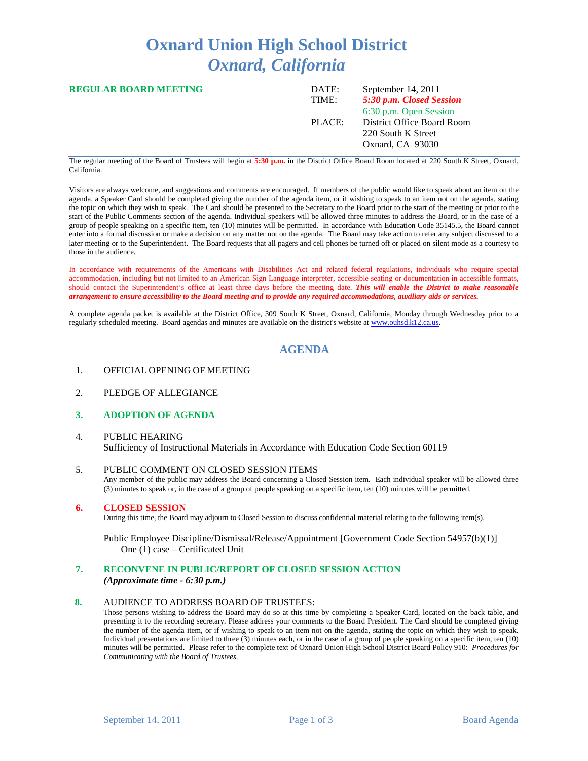# **Oxnard Union High School District** *Oxnard, California*

| <b>REGULAR BOARD MEETING</b> | DATE:<br>TIME: | September 14, 2011<br>5:30 p.m. Closed Session<br>6:30 p.m. Open Session |
|------------------------------|----------------|--------------------------------------------------------------------------|
|                              | PLACE:         | District Office Board Room<br>220 South K Street<br>Oxnard, CA 93030     |

The regular meeting of the Board of Trustees will begin at **5:30 p.m.** in the District Office Board Room located at 220 South K Street, Oxnard, California.

Visitors are always welcome, and suggestions and comments are encouraged. If members of the public would like to speak about an item on the agenda, a Speaker Card should be completed giving the number of the agenda item, or if wishing to speak to an item not on the agenda, stating the topic on which they wish to speak. The Card should be presented to the Secretary to the Board prior to the start of the meeting or prior to the start of the Public Comments section of the agenda. Individual speakers will be allowed three minutes to address the Board, or in the case of a group of people speaking on a specific item, ten (10) minutes will be permitted. In accordance with Education Code 35145.5, the Board cannot enter into a formal discussion or make a decision on any matter not on the agenda. The Board may take action to refer any subject discussed to a later meeting or to the Superintendent. The Board requests that all pagers and cell phones be turned off or placed on silent mode as a courtesy to those in the audience.

In accordance with requirements of the Americans with Disabilities Act and related federal regulations, individuals who require special accommodation, including but not limited to an American Sign Language interpreter, accessible seating or documentation in accessible formats, should contact the Superintendent's office at least three days before the meeting date. *This will enable the District to make reasonable arrangement to ensure accessibility to the Board meeting and to provide any required accommodations, auxiliary aids or services.*

A complete agenda packet is available at the District Office, 309 South K Street, Oxnard, California, Monday through Wednesday prior to a regularly scheduled meeting. Board agendas and minutes are available on the district's website a[t www.ouhsd.k12.ca.us.](http://www.ouhsd.k12.ca.us/)

### **AGENDA**

- 1. OFFICIAL OPENING OF MEETING
- 2. PLEDGE OF ALLEGIANCE

#### **3. ADOPTION OF AGENDA**

#### 4. PUBLIC HEARING Sufficiency of Instructional Materials in Accordance with Education Code Section 60119

- 5. PUBLIC COMMENT ON CLOSED SESSION ITEMS Any member of the public may address the Board concerning a Closed Session item. Each individual speaker will be allowed three (3) minutes to speak or, in the case of a group of people speaking on a specific item, ten (10) minutes will be permitted.
- **6. CLOSED SESSION**

During this time, the Board may adjourn to Closed Session to discuss confidential material relating to the following item(s).

Public Employee Discipline/Dismissal/Release/Appointment [Government Code Section 54957(b)(1)] One (1) case – Certificated Unit

## **7. RECONVENE IN PUBLIC/REPORT OF CLOSED SESSION ACTION**

*(Approximate time - 6:30 p.m.)*

#### **8.** AUDIENCE TO ADDRESS BOARD OF TRUSTEES:

Those persons wishing to address the Board may do so at this time by completing a Speaker Card, located on the back table, and presenting it to the recording secretary. Please address your comments to the Board President. The Card should be completed giving the number of the agenda item, or if wishing to speak to an item not on the agenda, stating the topic on which they wish to speak. Individual presentations are limited to three (3) minutes each, or in the case of a group of people speaking on a specific item, ten (10) minutes will be permitted. Please refer to the complete text of Oxnard Union High School District Board Policy 910: *Procedures for Communicating with the Board of Trustees*.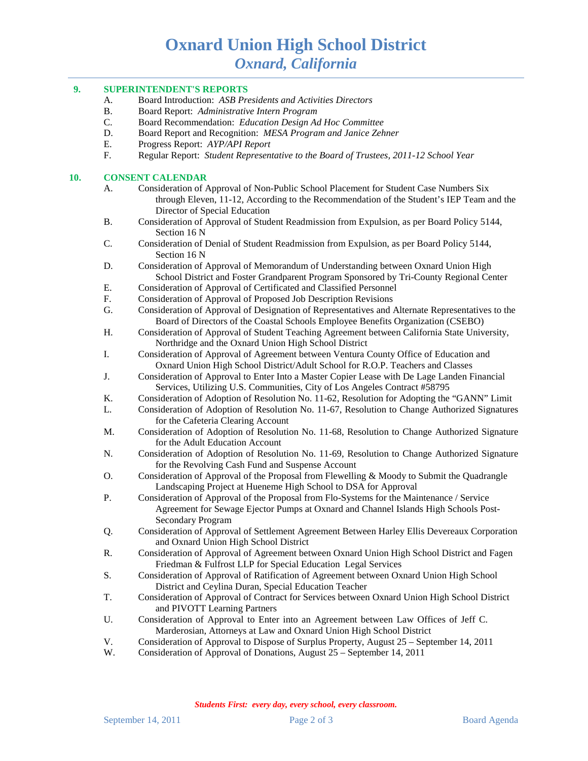# **Oxnard Union High School District** *Oxnard, California*

#### **9. SUPERINTENDENT'S REPORTS**

- A. Board Introduction: *ASB Presidents and Activities Directors*
- B. Board Report: *Administrative Intern Program*
- C. Board Recommendation: *Education Design Ad Hoc Committee*
- D. Board Report and Recognition: *MESA Program and Janice Zehner*
- E. Progress Report: *AYP/API Report*
- F. Regular Report: *Student Representative to the Board of Trustees, 2011-12 School Year*

#### **10. CONSENT CALENDAR**

- A. Consideration of Approval of Non-Public School Placement for Student Case Numbers Six through Eleven, 11-12, According to the Recommendation of the Student's IEP Team and the Director of Special Education
- B. Consideration of Approval of Student Readmission from Expulsion, as per Board Policy 5144, Section 16 N
- C. Consideration of Denial of Student Readmission from Expulsion, as per Board Policy 5144, Section 16 N
- D. Consideration of Approval of Memorandum of Understanding between Oxnard Union High School District and Foster Grandparent Program Sponsored by Tri-County Regional Center
- E. Consideration of Approval of Certificated and Classified Personnel<br>F. Consideration of Approval of Proposed Job Description Revisions
- Consideration of Approval of Proposed Job Description Revisions
- G. Consideration of Approval of Designation of Representatives and Alternate Representatives to the Board of Directors of the Coastal Schools Employee Benefits Organization (CSEBO)
- H. Consideration of Approval of Student Teaching Agreement between California State University, Northridge and the Oxnard Union High School District
- I. Consideration of Approval of Agreement between Ventura County Office of Education and Oxnard Union High School District/Adult School for R.O.P. Teachers and Classes
- J. Consideration of Approval to Enter Into a Master Copier Lease with De Lage Landen Financial Services, Utilizing U.S. Communities, City of Los Angeles Contract #58795
- K. Consideration of Adoption of Resolution No. 11-62, Resolution for Adopting the "GANN" Limit
- L. Consideration of Adoption of Resolution No. 11-67, Resolution to Change Authorized Signatures for the Cafeteria Clearing Account
- M. Consideration of Adoption of Resolution No. 11-68, Resolution to Change Authorized Signature for the Adult Education Account
- N. Consideration of Adoption of Resolution No. 11-69, Resolution to Change Authorized Signature for the Revolving Cash Fund and Suspense Account
- O. Consideration of Approval of the Proposal from Flewelling & Moody to Submit the Quadrangle Landscaping Project at Hueneme High School to DSA for Approval
- P. Consideration of Approval of the Proposal from Flo-Systems for the Maintenance / Service Agreement for Sewage Ejector Pumps at Oxnard and Channel Islands High Schools Post-Secondary Program
- Q. Consideration of Approval of Settlement Agreement Between Harley Ellis Devereaux Corporation and Oxnard Union High School District
- R. Consideration of Approval of Agreement between Oxnard Union High School District and Fagen Friedman & Fulfrost LLP for Special Education Legal Services
- S. Consideration of Approval of Ratification of Agreement between Oxnard Union High School District and Ceylina Duran, Special Education Teacher
- T. Consideration of Approval of Contract for Services between Oxnard Union High School District and PIVOTT Learning Partners
- U. Consideration of Approval to Enter into an Agreement between Law Offices of Jeff C. Marderosian, Attorneys at Law and Oxnard Union High School District
- V. Consideration of Approval to Dispose of Surplus Property, August 25 September 14, 2011
- W. Consideration of Approval of Donations, August 25 September 14, 2011